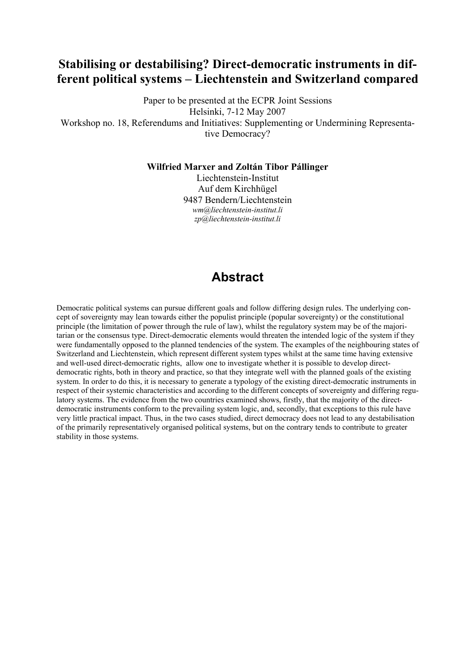# **Stabilising or destabilising? Direct-democratic instruments in different political systems – Liechtenstein and Switzerland compared**

Paper to be presented at the ECPR Joint Sessions Helsinki, 7-12 May 2007 Workshop no. 18, Referendums and Initiatives: Supplementing or Undermining Representative Democracy?

#### **Wilfried Marxer and Zoltán Tibor Pállinger**

Liechtenstein-Institut Auf dem Kirchhügel 9487 Bendern/Liechtenstein *wm@liechtenstein-institut.li zp@liechtenstein-institut.li* 

# **Abstract**

Democratic political systems can pursue different goals and follow differing design rules. The underlying concept of sovereignty may lean towards either the populist principle (popular sovereignty) or the constitutional principle (the limitation of power through the rule of law), whilst the regulatory system may be of the majoritarian or the consensus type. Direct-democratic elements would threaten the intended logic of the system if they were fundamentally opposed to the planned tendencies of the system. The examples of the neighbouring states of Switzerland and Liechtenstein, which represent different system types whilst at the same time having extensive and well-used direct-democratic rights, allow one to investigate whether it is possible to develop directdemocratic rights, both in theory and practice, so that they integrate well with the planned goals of the existing system. In order to do this, it is necessary to generate a typology of the existing direct-democratic instruments in respect of their systemic characteristics and according to the different concepts of sovereignty and differing regulatory systems. The evidence from the two countries examined shows, firstly, that the majority of the directdemocratic instruments conform to the prevailing system logic, and, secondly, that exceptions to this rule have very little practical impact. Thus, in the two cases studied, direct democracy does not lead to any destabilisation of the primarily representatively organised political systems, but on the contrary tends to contribute to greater stability in those systems.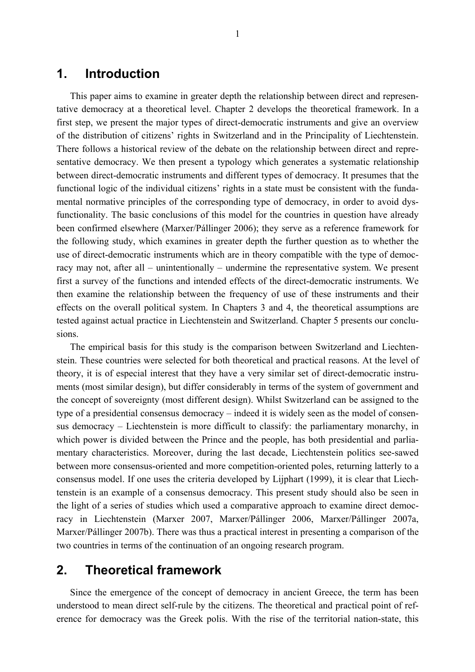## **1. Introduction**

This paper aims to examine in greater depth the relationship between direct and representative democracy at a theoretical level. Chapter 2 develops the theoretical framework. In a first step, we present the major types of direct-democratic instruments and give an overview of the distribution of citizens' rights in Switzerland and in the Principality of Liechtenstein. There follows a historical review of the debate on the relationship between direct and representative democracy. We then present a typology which generates a systematic relationship between direct-democratic instruments and different types of democracy. It presumes that the functional logic of the individual citizens' rights in a state must be consistent with the fundamental normative principles of the corresponding type of democracy, in order to avoid dysfunctionality. The basic conclusions of this model for the countries in question have already been confirmed elsewhere (Marxer/Pállinger 2006); they serve as a reference framework for the following study, which examines in greater depth the further question as to whether the use of direct-democratic instruments which are in theory compatible with the type of democracy may not, after all – unintentionally – undermine the representative system. We present first a survey of the functions and intended effects of the direct-democratic instruments. We then examine the relationship between the frequency of use of these instruments and their effects on the overall political system. In Chapters 3 and 4, the theoretical assumptions are tested against actual practice in Liechtenstein and Switzerland. Chapter 5 presents our conclusions.

The empirical basis for this study is the comparison between Switzerland and Liechtenstein. These countries were selected for both theoretical and practical reasons. At the level of theory, it is of especial interest that they have a very similar set of direct-democratic instruments (most similar design), but differ considerably in terms of the system of government and the concept of sovereignty (most different design). Whilst Switzerland can be assigned to the type of a presidential consensus democracy – indeed it is widely seen as the model of consensus democracy – Liechtenstein is more difficult to classify: the parliamentary monarchy, in which power is divided between the Prince and the people, has both presidential and parliamentary characteristics. Moreover, during the last decade, Liechtenstein politics see-sawed between more consensus-oriented and more competition-oriented poles, returning latterly to a consensus model. If one uses the criteria developed by Lijphart (1999), it is clear that Liechtenstein is an example of a consensus democracy. This present study should also be seen in the light of a series of studies which used a comparative approach to examine direct democracy in Liechtenstein (Marxer 2007, Marxer/Pállinger 2006, Marxer/Pállinger 2007a, Marxer/Pállinger 2007b). There was thus a practical interest in presenting a comparison of the two countries in terms of the continuation of an ongoing research program.

# **2. Theoretical framework**

Since the emergence of the concept of democracy in ancient Greece, the term has been understood to mean direct self-rule by the citizens. The theoretical and practical point of reference for democracy was the Greek polis. With the rise of the territorial nation-state, this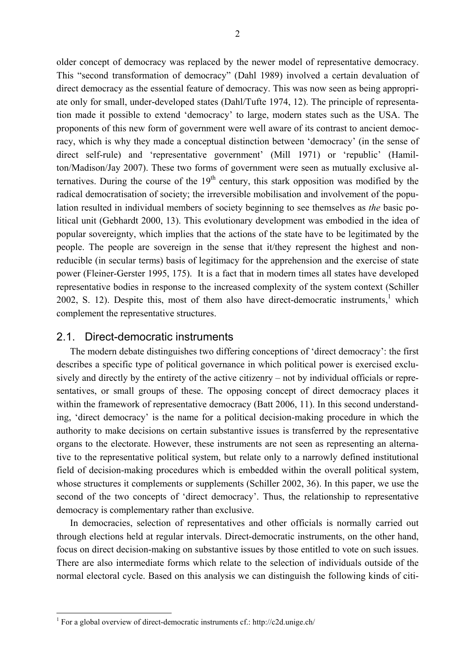older concept of democracy was replaced by the newer model of representative democracy. This "second transformation of democracy" (Dahl 1989) involved a certain devaluation of direct democracy as the essential feature of democracy. This was now seen as being appropriate only for small, under-developed states (Dahl/Tufte 1974, 12). The principle of representation made it possible to extend 'democracy' to large, modern states such as the USA. The proponents of this new form of government were well aware of its contrast to ancient democracy, which is why they made a conceptual distinction between 'democracy' (in the sense of direct self-rule) and 'representative government' (Mill 1971) or 'republic' (Hamilton/Madison/Jay 2007). These two forms of government were seen as mutually exclusive alternatives. During the course of the  $19<sup>th</sup>$  century, this stark opposition was modified by the radical democratisation of society; the irreversible mobilisation and involvement of the population resulted in individual members of society beginning to see themselves as *the* basic political unit (Gebhardt 2000, 13). This evolutionary development was embodied in the idea of popular sovereignty, which implies that the actions of the state have to be legitimated by the people. The people are sovereign in the sense that it/they represent the highest and nonreducible (in secular terms) basis of legitimacy for the apprehension and the exercise of state power (Fleiner-Gerster 1995, 175). It is a fact that in modern times all states have developed representative bodies in response to the increased complexity of the system context (Schiller 2002, S. [1](#page-2-0)2). Despite this, most of them also have direct-democratic instruments,<sup>1</sup> which complement the representative structures.

#### 2.1. Direct-democratic instruments

The modern debate distinguishes two differing conceptions of 'direct democracy': the first describes a specific type of political governance in which political power is exercised exclusively and directly by the entirety of the active citizenry – not by individual officials or representatives, or small groups of these. The opposing concept of direct democracy places it within the framework of representative democracy (Batt 2006, 11). In this second understanding, 'direct democracy' is the name for a political decision-making procedure in which the authority to make decisions on certain substantive issues is transferred by the representative organs to the electorate. However, these instruments are not seen as representing an alternative to the representative political system, but relate only to a narrowly defined institutional field of decision-making procedures which is embedded within the overall political system, whose structures it complements or supplements (Schiller 2002, 36). In this paper, we use the second of the two concepts of 'direct democracy'. Thus, the relationship to representative democracy is complementary rather than exclusive.

In democracies, selection of representatives and other officials is normally carried out through elections held at regular intervals. Direct-democratic instruments, on the other hand, focus on direct decision-making on substantive issues by those entitled to vote on such issues. There are also intermediate forms which relate to the selection of individuals outside of the normal electoral cycle. Based on this analysis we can distinguish the following kinds of citi-

<span id="page-2-0"></span><sup>&</sup>lt;sup>1</sup> For a global overview of direct-democratic instruments cf.: http://c2d.unige.ch/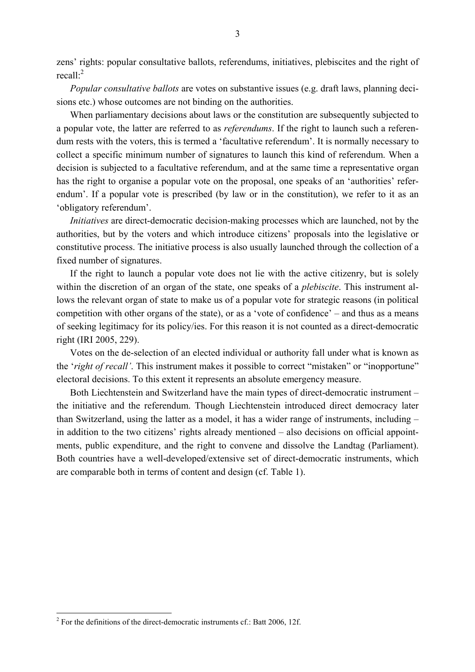zens' rights: popular consultative ballots, referendums, initiatives, plebiscites and the right of recall: $^2$  $^2$ 

*Popular consultative ballots* are votes on substantive issues (e.g. draft laws, planning decisions etc.) whose outcomes are not binding on the authorities.

When parliamentary decisions about laws or the constitution are subsequently subjected to a popular vote, the latter are referred to as *referendums*. If the right to launch such a referendum rests with the voters, this is termed a 'facultative referendum'. It is normally necessary to collect a specific minimum number of signatures to launch this kind of referendum. When a decision is subjected to a facultative referendum, and at the same time a representative organ has the right to organise a popular vote on the proposal, one speaks of an 'authorities' referendum'. If a popular vote is prescribed (by law or in the constitution), we refer to it as an 'obligatory referendum'.

*Initiatives* are direct-democratic decision-making processes which are launched, not by the authorities, but by the voters and which introduce citizens' proposals into the legislative or constitutive process. The initiative process is also usually launched through the collection of a fixed number of signatures.

If the right to launch a popular vote does not lie with the active citizenry, but is solely within the discretion of an organ of the state, one speaks of a *plebiscite*. This instrument allows the relevant organ of state to make us of a popular vote for strategic reasons (in political competition with other organs of the state), or as a 'vote of confidence' – and thus as a means of seeking legitimacy for its policy/ies. For this reason it is not counted as a direct-democratic right (IRI 2005, 229).

Votes on the de-selection of an elected individual or authority fall under what is known as the '*right of recall'*. This instrument makes it possible to correct "mistaken" or "inopportune" electoral decisions. To this extent it represents an absolute emergency measure.

Both Liechtenstein and Switzerland have the main types of direct-democratic instrument – the initiative and the referendum. Though Liechtenstein introduced direct democracy later than Switzerland, using the latter as a model, it has a wider range of instruments, including – in addition to the two citizens' rights already mentioned – also decisions on official appointments, public expenditure, and the right to convene and dissolve the Landtag (Parliament). Both countries have a well-developed/extensive set of direct-democratic instruments, which are comparable both in terms of content and design (cf. Table 1).

<span id="page-3-0"></span> $2^2$  For the definitions of the direct-democratic instruments cf.: Batt 2006, 12f.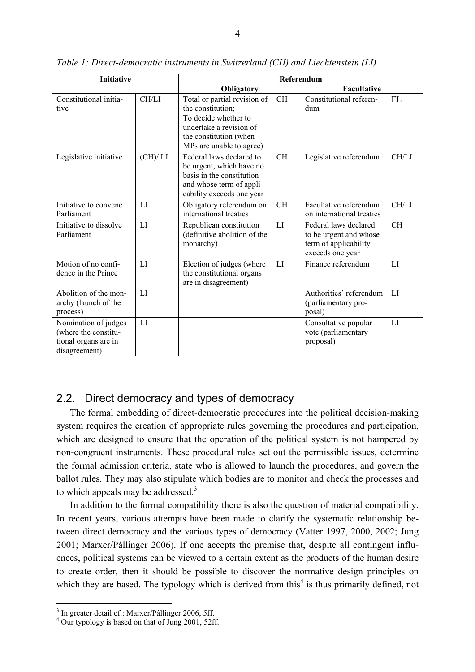| Initiative                                                                            |         | Referendum                                                                                                                                                 |           |                                                                                              |           |  |
|---------------------------------------------------------------------------------------|---------|------------------------------------------------------------------------------------------------------------------------------------------------------------|-----------|----------------------------------------------------------------------------------------------|-----------|--|
|                                                                                       |         | Obligatory                                                                                                                                                 |           | <b>Facultative</b>                                                                           |           |  |
| Constitutional initia-<br>tive                                                        | CH/LI   | Total or partial revision of<br>the constitution;<br>To decide whether to<br>undertake a revision of<br>the constitution (when<br>MPs are unable to agree) | <b>CH</b> | Constitutional referen-<br>dum                                                               | <b>FL</b> |  |
| Legislative initiative                                                                | (CH)/LI | Federal laws declared to<br>be urgent, which have no<br>basis in the constitution<br>and whose term of appli-<br>cability exceeds one year                 | <b>CH</b> | Legislative referendum                                                                       | CH/LI     |  |
| Initiative to convene<br>Parliament                                                   | L1      | Obligatory referendum on<br>international treaties                                                                                                         | <b>CH</b> | Facultative referendum<br>on international treaties                                          | CH/LI     |  |
| Initiative to dissolve<br>Parliament                                                  | LI      | Republican constitution<br>(definitive abolition of the<br>monarchy)                                                                                       | LI        | Federal laws declared<br>to be urgent and whose<br>term of applicability<br>exceeds one year | <b>CH</b> |  |
| Motion of no confi-<br>dence in the Prince                                            | LI      | Election of judges (where<br>the constitutional organs<br>are in disagreement)                                                                             | LI        | Finance referendum                                                                           | LI        |  |
| Abolition of the mon-<br>archy (launch of the<br>process)                             | LI      |                                                                                                                                                            |           | Authorities' referendum<br>(parliamentary pro-<br>posal)                                     | LI        |  |
| Nomination of judges<br>(where the constitu-<br>tional organs are in<br>disagreement) | LI      |                                                                                                                                                            |           | Consultative popular<br>vote (parliamentary<br>proposal)                                     | LI        |  |

<span id="page-4-2"></span>*Table 1: Direct-democratic instruments in Switzerland (CH) and Liechtenstein (LI)* 

## 2.2. Direct democracy and types of democracy

The formal embedding of direct-democratic procedures into the political decision-making system requires the creation of appropriate rules governing the procedures and participation, which are designed to ensure that the operation of the political system is not hampered by non-congruent instruments. These procedural rules set out the permissible issues, determine the formal admission criteria, state who is allowed to launch the procedures, and govern the ballot rules. They may also stipulate which bodies are to monitor and check the processes and to which appeals may be addressed.<sup>[3](#page-4-0)</sup>

In addition to the formal compatibility there is also the question of material compatibility. In recent years, various attempts have been made to clarify the systematic relationship between direct democracy and the various types of democracy (Vatter 1997, 2000, 2002; Jung 2001; Marxer/Pállinger 2006). If one accepts the premise that, despite all contingent influences, political systems can be viewed to a certain extent as the products of the human desire to create order, then it should be possible to discover the normative design principles on which they are based. The typology which is derived from this<sup>4</sup> is thus primarily defined, not

<span id="page-4-0"></span><sup>&</sup>lt;sup>3</sup> In greater detail cf.: Marxer/Pállinger 2006, 5ff.

<span id="page-4-1"></span><sup>&</sup>lt;sup>4</sup> Our typology is based on that of Jung 2001, 52ff.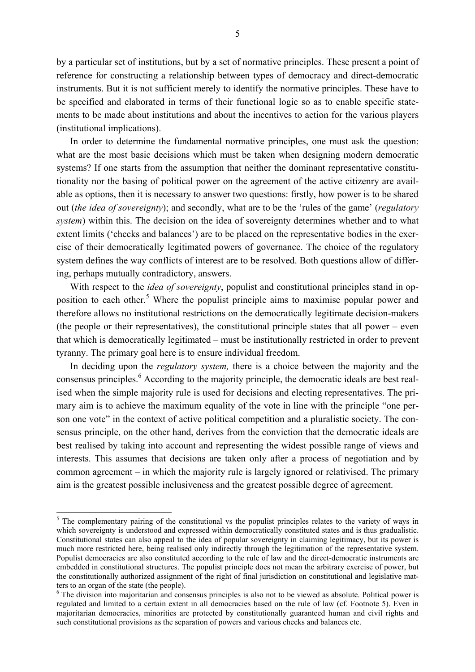by a particular set of institutions, but by a set of normative principles. These present a point of reference for constructing a relationship between types of democracy and direct-democratic instruments. But it is not sufficient merely to identify the normative principles. These have to be specified and elaborated in terms of their functional logic so as to enable specific statements to be made about institutions and about the incentives to action for the various players (institutional implications).

In order to determine the fundamental normative principles, one must ask the question: what are the most basic decisions which must be taken when designing modern democratic systems? If one starts from the assumption that neither the dominant representative constitutionality nor the basing of political power on the agreement of the active citizenry are available as options, then it is necessary to answer two questions: firstly, how power is to be shared out (*the idea of sovereignty*); and secondly, what are to be the 'rules of the game' (*regulatory system*) within this. The decision on the idea of sovereignty determines whether and to what extent limits ('checks and balances') are to be placed on the representative bodies in the exercise of their democratically legitimated powers of governance. The choice of the regulatory system defines the way conflicts of interest are to be resolved. Both questions allow of differing, perhaps mutually contradictory, answers.

With respect to the *idea of sovereignty*, populist and constitutional principles stand in op-position to each other.<sup>[5](#page-5-0)</sup> Where the populist principle aims to maximise popular power and therefore allows no institutional restrictions on the democratically legitimate decision-makers (the people or their representatives), the constitutional principle states that all power – even that which is democratically legitimated – must be institutionally restricted in order to prevent tyranny. The primary goal here is to ensure individual freedom.

In deciding upon the *regulatory system,* there is a choice between the majority and the consensus principles.<sup>6</sup> According to the majority principle, the democratic ideals are best realised when the simple majority rule is used for decisions and electing representatives. The primary aim is to achieve the maximum equality of the vote in line with the principle "one person one vote" in the context of active political competition and a pluralistic society. The consensus principle, on the other hand, derives from the conviction that the democratic ideals are best realised by taking into account and representing the widest possible range of views and interests. This assumes that decisions are taken only after a process of negotiation and by common agreement – in which the majority rule is largely ignored or relativised. The primary aim is the greatest possible inclusiveness and the greatest possible degree of agreement.

<span id="page-5-0"></span><sup>&</sup>lt;sup>5</sup> The complementary pairing of the constitutional vs the populist principles relates to the variety of ways in which sovereignty is understood and expressed within democratically constituted states and is thus gradualistic. Constitutional states can also appeal to the idea of popular sovereignty in claiming legitimacy, but its power is much more restricted here, being realised only indirectly through the legitimation of the representative system. Populist democracies are also constituted according to the rule of law and the direct-democratic instruments are embedded in constitutional structures. The populist principle does not mean the arbitrary exercise of power, but the constitutionally authorized assignment of the right of final jurisdiction on constitutional and legislative matters to an organ of the state (the people).

<span id="page-5-1"></span><sup>&</sup>lt;sup>6</sup> The division into majoritarian and consensus principles is also not to be viewed as absolute. Political power is regulated and limited to a certain extent in all democracies based on the rule of law (cf. Footnote 5). Even in majoritarian democracies, minorities are protected by constitutionally guaranteed human and civil rights and such constitutional provisions as the separation of powers and various checks and balances etc.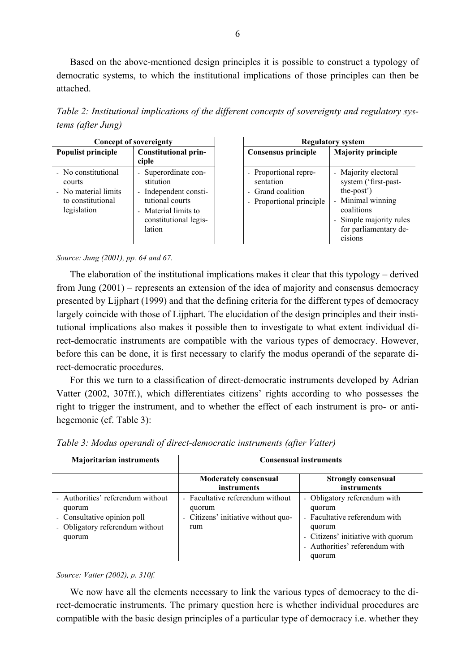Based on the above-mentioned design principles it is possible to construct a typology of democratic systems, to which the institutional implications of those principles can then be attached.

*Table 2: Institutional implications of the different concepts of sovereignty and regulatory systems (after Jung)* 

| Concept of sovereignty                                                                    |                                                                                                                                                                                    |                                                                                     | <b>Regulatory system</b>                                                                                                                                                  |
|-------------------------------------------------------------------------------------------|------------------------------------------------------------------------------------------------------------------------------------------------------------------------------------|-------------------------------------------------------------------------------------|---------------------------------------------------------------------------------------------------------------------------------------------------------------------------|
| <b>Populist principle</b>                                                                 | <b>Constitutional prin-</b><br>ciple                                                                                                                                               | <b>Consensus principle</b>                                                          | <b>Majority principle</b>                                                                                                                                                 |
| - No constitutional<br>courts<br>- No material limits<br>to constitutional<br>legislation | - Superordinate con-<br>stitution<br>Independent consti-<br>$\blacksquare$<br>tutional courts<br>Material limits to<br>$\overline{\phantom{0}}$<br>constitutional legis-<br>lation | - Proportional repre-<br>sentation<br>- Grand coalition<br>- Proportional principle | - Majority electoral<br>system ('first-past-<br>the-post <sup>2</sup> )<br>- Minimal winning<br>coalitions<br>- Simple majority rules<br>for parliamentary de-<br>cisions |

*Source: Jung (2001), pp. 64 and 67.* 

The elaboration of the institutional implications makes it clear that this typology – derived from Jung (2001) – represents an extension of the idea of majority and consensus democracy presented by Lijphart (1999) and that the defining criteria for the different types of democracy largely coincide with those of Lijphart. The elucidation of the design principles and their institutional implications also makes it possible then to investigate to what extent individual direct-democratic instruments are compatible with the various types of democracy. However, before this can be done, it is first necessary to clarify the modus operandi of the separate direct-democratic procedures.

For this we turn to a classification of direct-democratic instruments developed by Adrian Vatter (2002, 307ff.), which differentiates citizens' rights according to who possesses the right to trigger the instrument, and to whether the effect of each instrument is pro- or antihegemonic (cf. Table 3):

|  | Table 3: Modus operandi of direct-democratic instruments (after Vatter) |  |  |
|--|-------------------------------------------------------------------------|--|--|
|  |                                                                         |  |  |

| <b>Majoritarian instruments</b>                                                                                         | <b>Consensual instruments</b>                                                            |                                                                                                                                                                     |  |
|-------------------------------------------------------------------------------------------------------------------------|------------------------------------------------------------------------------------------|---------------------------------------------------------------------------------------------------------------------------------------------------------------------|--|
|                                                                                                                         | <b>Moderately consensual</b><br>instruments                                              | <b>Strongly consensual</b><br><i>instruments</i>                                                                                                                    |  |
| - Authorities' referendum without<br>quorum<br>- Consultative opinion poll<br>- Obligatory referendum without<br>quorum | - Facultative referendum without<br>quorum<br>- Citizens' initiative without quo-<br>rum | - Obligatory referendum with<br>quorum<br>- Facultative referendum with<br>quorum<br>- Citizens' initiative with quorum<br>- Authorities' referendum with<br>quorum |  |

#### *Source: Vatter (2002), p. 310f.*

We now have all the elements necessary to link the various types of democracy to the direct-democratic instruments. The primary question here is whether individual procedures are compatible with the basic design principles of a particular type of democracy i.e. whether they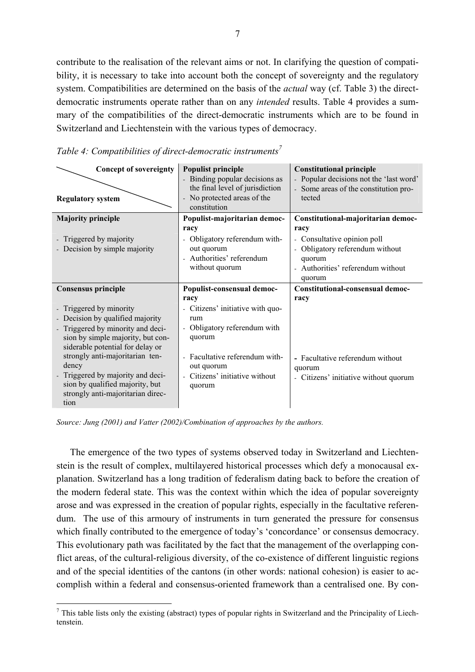contribute to the realisation of the relevant aims or not. In clarifying the question of compatibility, it is necessary to take into account both the concept of sovereignty and the regulatory system. Compatibilities are determined on the basis of the *actual* way (cf. Table 3) the directdemocratic instruments operate rather than on any *intended* results. Table 4 provides a summary of the compatibilities of the direct-democratic instruments which are to be found in Switzerland and Liechtenstein with the various types of democracy.

| <b>Concept of sovereignty</b><br><b>Regulatory system</b>                                                                                                                                                                                                                                                                                                            | <b>Populist principle</b><br>- Binding popular decisions as<br>the final level of jurisdiction<br>- No protected areas of the<br>constitution                                                                   | <b>Constitutional principle</b><br>Popular decisions not the 'last word'<br>Some areas of the constitution pro-<br>tected                                                 |
|----------------------------------------------------------------------------------------------------------------------------------------------------------------------------------------------------------------------------------------------------------------------------------------------------------------------------------------------------------------------|-----------------------------------------------------------------------------------------------------------------------------------------------------------------------------------------------------------------|---------------------------------------------------------------------------------------------------------------------------------------------------------------------------|
| <b>Majority principle</b><br>- Triggered by majority<br>- Decision by simple majority                                                                                                                                                                                                                                                                                | Populist-majoritarian democ-<br>racy<br>- Obligatory referendum with-<br>out quorum<br>- Authorities' referendum<br>without quorum                                                                              | Constitutional-majoritarian democ-<br>racy<br>Consultative opinion poll<br>$\sim$<br>Obligatory referendum without<br>quorum<br>Authorities' referendum without<br>quorum |
| <b>Consensus principle</b><br>- Triggered by minority<br>- Decision by qualified majority<br>Triggered by minority and deci-<br>sion by simple majority, but con-<br>siderable potential for delay or<br>strongly anti-majoritarian ten-<br>dency<br>Triggered by majority and deci-<br>sion by qualified majority, but<br>strongly anti-majoritarian direc-<br>tion | Populist-consensual democ-<br>racy<br>- Citizens' initiative with quo-<br>rum<br>- Obligatory referendum with<br>quorum<br>Facultative referendum with-<br>out quorum<br>Citizens' initiative without<br>quorum | Constitutional-consensual democ-<br>racy<br>- Facultative referendum without<br>quorum<br>- Citizens' initiative without quorum                                           |

*Table 4: Compatibilities of direct-democratic instruments[7](#page-7-0)*

*Source: Jung (2001) and Vatter (2002)/Combination of approaches by the authors.* 

1

The emergence of the two types of systems observed today in Switzerland and Liechtenstein is the result of complex, multilayered historical processes which defy a monocausal explanation. Switzerland has a long tradition of federalism dating back to before the creation of the modern federal state. This was the context within which the idea of popular sovereignty arose and was expressed in the creation of popular rights, especially in the facultative referendum. The use of this armoury of instruments in turn generated the pressure for consensus which finally contributed to the emergence of today's 'concordance' or consensus democracy. This evolutionary path was facilitated by the fact that the management of the overlapping conflict areas, of the cultural-religious diversity, of the co-existence of different linguistic regions and of the special identities of the cantons (in other words: national cohesion) is easier to accomplish within a federal and consensus-oriented framework than a centralised one. By con-

<span id="page-7-0"></span> $<sup>7</sup>$  This table lists only the existing (abstract) types of popular rights in Switzerland and the Principality of Liech-</sup> tenstein.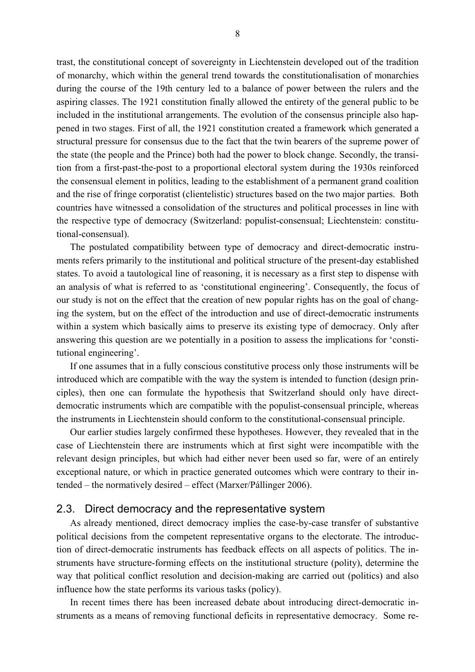trast, the constitutional concept of sovereignty in Liechtenstein developed out of the tradition of monarchy, which within the general trend towards the constitutionalisation of monarchies during the course of the 19th century led to a balance of power between the rulers and the aspiring classes. The 1921 constitution finally allowed the entirety of the general public to be included in the institutional arrangements. The evolution of the consensus principle also happened in two stages. First of all, the 1921 constitution created a framework which generated a structural pressure for consensus due to the fact that the twin bearers of the supreme power of the state (the people and the Prince) both had the power to block change. Secondly, the transition from a first-past-the-post to a proportional electoral system during the 1930s reinforced the consensual element in politics, leading to the establishment of a permanent grand coalition and the rise of fringe corporatist (clientelistic) structures based on the two major parties. Both countries have witnessed a consolidation of the structures and political processes in line with the respective type of democracy (Switzerland: populist-consensual; Liechtenstein: constitutional-consensual).

The postulated compatibility between type of democracy and direct-democratic instruments refers primarily to the institutional and political structure of the present-day established states. To avoid a tautological line of reasoning, it is necessary as a first step to dispense with an analysis of what is referred to as 'constitutional engineering'. Consequently, the focus of our study is not on the effect that the creation of new popular rights has on the goal of changing the system, but on the effect of the introduction and use of direct-democratic instruments within a system which basically aims to preserve its existing type of democracy. Only after answering this question are we potentially in a position to assess the implications for 'constitutional engineering'.

If one assumes that in a fully conscious constitutive process only those instruments will be introduced which are compatible with the way the system is intended to function (design principles), then one can formulate the hypothesis that Switzerland should only have directdemocratic instruments which are compatible with the populist-consensual principle, whereas the instruments in Liechtenstein should conform to the constitutional-consensual principle.

Our earlier studies largely confirmed these hypotheses. However, they revealed that in the case of Liechtenstein there are instruments which at first sight were incompatible with the relevant design principles, but which had either never been used so far, were of an entirely exceptional nature, or which in practice generated outcomes which were contrary to their intended – the normatively desired – effect (Marxer/Pállinger 2006).

#### 2.3. Direct democracy and the representative system

As already mentioned, direct democracy implies the case-by-case transfer of substantive political decisions from the competent representative organs to the electorate. The introduction of direct-democratic instruments has feedback effects on all aspects of politics. The instruments have structure-forming effects on the institutional structure (polity), determine the way that political conflict resolution and decision-making are carried out (politics) and also influence how the state performs its various tasks (policy).

In recent times there has been increased debate about introducing direct-democratic instruments as a means of removing functional deficits in representative democracy. Some re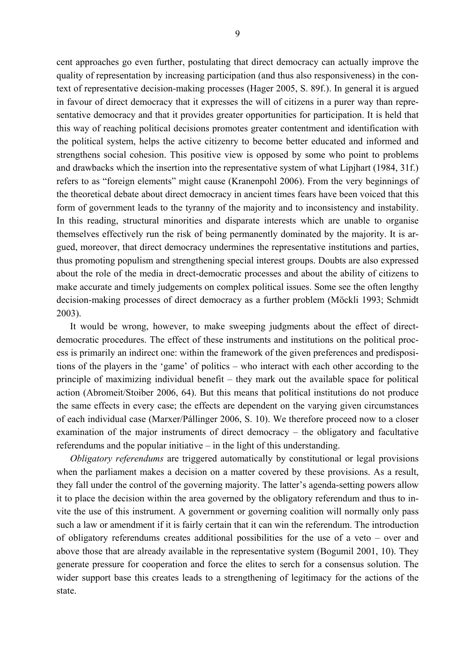cent approaches go even further, postulating that direct democracy can actually improve the quality of representation by increasing participation (and thus also responsiveness) in the context of representative decision-making processes (Hager 2005, S. 89f.). In general it is argued in favour of direct democracy that it expresses the will of citizens in a purer way than representative democracy and that it provides greater opportunities for participation. It is held that this way of reaching political decisions promotes greater contentment and identification with the political system, helps the active citizenry to become better educated and informed and strengthens social cohesion. This positive view is opposed by some who point to problems and drawbacks which the insertion into the representative system of what Lipjhart (1984, 31f.) refers to as "foreign elements" might cause (Kranenpohl 2006). From the very beginnings of the theoretical debate about direct democracy in ancient times fears have been voiced that this form of government leads to the tyranny of the majority and to inconsistency and instability. In this reading, structural minorities and disparate interests which are unable to organise themselves effectively run the risk of being permanently dominated by the majority. It is argued, moreover, that direct democracy undermines the representative institutions and parties, thus promoting populism and strengthening special interest groups. Doubts are also expressed about the role of the media in drect-democratic processes and about the ability of citizens to make accurate and timely judgements on complex political issues. Some see the often lengthy decision-making processes of direct democracy as a further problem (Möckli 1993; Schmidt 2003).

It would be wrong, however, to make sweeping judgments about the effect of directdemocratic procedures. The effect of these instruments and institutions on the political process is primarily an indirect one: within the framework of the given preferences and predispositions of the players in the 'game' of politics – who interact with each other according to the principle of maximizing individual benefit – they mark out the available space for political action (Abromeit/Stoiber 2006, 64). But this means that political institutions do not produce the same effects in every case; the effects are dependent on the varying given circumstances of each individual case (Marxer/Pállinger 2006, S. 10). We therefore proceed now to a closer examination of the major instruments of direct democracy – the obligatory and facultative referendums and the popular initiative – in the light of this understanding.

*Obligatory referendums* are triggered automatically by constitutional or legal provisions when the parliament makes a decision on a matter covered by these provisions. As a result, they fall under the control of the governing majority. The latter's agenda-setting powers allow it to place the decision within the area governed by the obligatory referendum and thus to invite the use of this instrument. A government or governing coalition will normally only pass such a law or amendment if it is fairly certain that it can win the referendum. The introduction of obligatory referendums creates additional possibilities for the use of a veto – over and above those that are already available in the representative system (Bogumil 2001, 10). They generate pressure for cooperation and force the elites to serch for a consensus solution. The wider support base this creates leads to a strengthening of legitimacy for the actions of the state.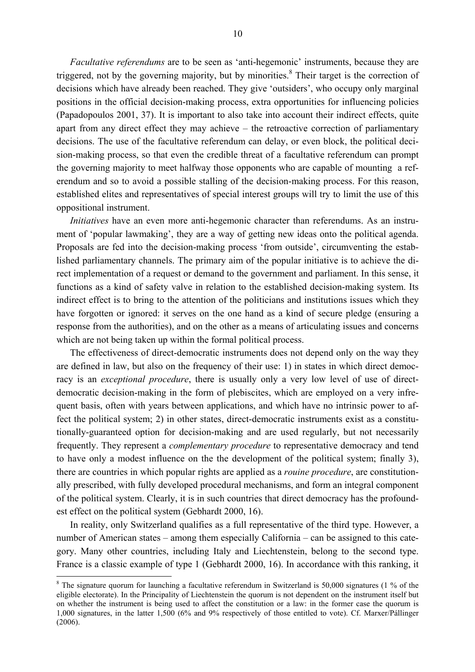*Facultative referendums* are to be seen as 'anti-hegemonic' instruments, because they are triggered, not by the governing majority, but by minorities.<sup>[8](#page-10-0)</sup> Their target is the correction of decisions which have already been reached. They give 'outsiders', who occupy only marginal positions in the official decision-making process, extra opportunities for influencing policies (Papadopoulos 2001, 37). It is important to also take into account their indirect effects, quite apart from any direct effect they may achieve – the retroactive correction of parliamentary decisions. The use of the facultative referendum can delay, or even block, the political decision-making process, so that even the credible threat of a facultative referendum can prompt the governing majority to meet halfway those opponents who are capable of mounting a referendum and so to avoid a possible stalling of the decision-making process. For this reason, established elites and representatives of special interest groups will try to limit the use of this oppositional instrument.

*Initiatives* have an even more anti-hegemonic character than referendums. As an instrument of 'popular lawmaking', they are a way of getting new ideas onto the political agenda. Proposals are fed into the decision-making process 'from outside', circumventing the established parliamentary channels. The primary aim of the popular initiative is to achieve the direct implementation of a request or demand to the government and parliament. In this sense, it functions as a kind of safety valve in relation to the established decision-making system. Its indirect effect is to bring to the attention of the politicians and institutions issues which they have forgotten or ignored: it serves on the one hand as a kind of secure pledge (ensuring a response from the authorities), and on the other as a means of articulating issues and concerns which are not being taken up within the formal political process.

The effectiveness of direct-democratic instruments does not depend only on the way they are defined in law, but also on the frequency of their use: 1) in states in which direct democracy is an *exceptional procedure*, there is usually only a very low level of use of directdemocratic decision-making in the form of plebiscites, which are employed on a very infrequent basis, often with years between applications, and which have no intrinsic power to affect the political system; 2) in other states, direct-democratic instruments exist as a constitutionally-guaranteed option for decision-making and are used regularly, but not necessarily frequently. They represent a *complementary procedure* to representative democracy and tend to have only a modest influence on the the development of the political system; finally 3), there are countries in which popular rights are applied as a *rouine procedure*, are constitutionally prescribed, with fully developed procedural mechanisms, and form an integral component of the political system. Clearly, it is in such countries that direct democracy has the profoundest effect on the political system (Gebhardt 2000, 16).

In reality, only Switzerland qualifies as a full representative of the third type. However, a number of American states – among them especially California – can be assigned to this category. Many other countries, including Italy and Liechtenstein, belong to the second type. France is a classic example of type 1 (Gebhardt 2000, 16). In accordance with this ranking, it

<span id="page-10-0"></span><sup>&</sup>lt;sup>8</sup> The signature quorum for launching a facultative referendum in Switzerland is 50,000 signatures (1  $\%$  of the eligible electorate). In the Principality of Liechtenstein the quorum is not dependent on the instrument itself but on whether the instrument is being used to affect the constitution or a law: in the former case the quorum is 1,000 signatures, in the latter 1,500 (6% and 9% respectively of those entitled to vote). Cf. Marxer/Pállinger (2006).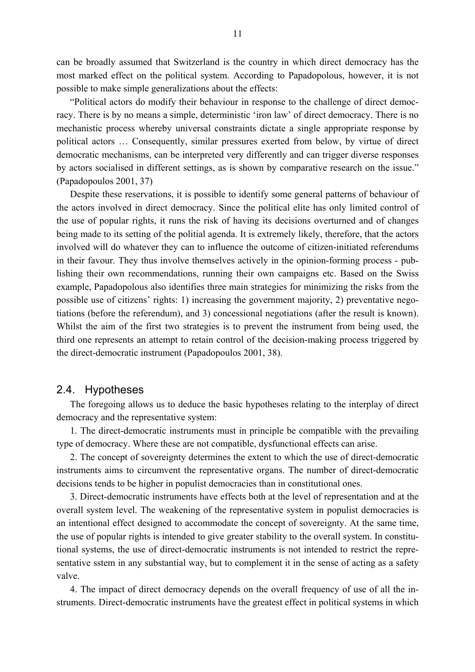can be broadly assumed that Switzerland is the country in which direct democracy has the most marked effect on the political system. According to Papadopolous, however, it is not possible to make simple generalizations about the effects:

"Political actors do modify their behaviour in response to the challenge of direct democracy. There is by no means a simple, deterministic 'iron law' of direct democracy. There is no mechanistic process whereby universal constraints dictate a single appropriate response by political actors … Consequently, similar pressures exerted from below, by virtue of direct democratic mechanisms, can be interpreted very differently and can trigger diverse responses by actors socialised in different settings, as is shown by comparative research on the issue." (Papadopoulos 2001, 37)

Despite these reservations, it is possible to identify some general patterns of behaviour of the actors involved in direct democracy. Since the political elite has only limited control of the use of popular rights, it runs the risk of having its decisions overturned and of changes being made to its setting of the politial agenda. It is extremely likely, therefore, that the actors involved will do whatever they can to influence the outcome of citizen-initiated referendums in their favour. They thus involve themselves actively in the opinion-forming process - publishing their own recommendations, running their own campaigns etc. Based on the Swiss example, Papadopolous also identifies three main strategies for minimizing the risks from the possible use of citizens' rights: 1) increasing the government majority, 2) preventative negotiations (before the referendum), and 3) concessional negotiations (after the result is known). Whilst the aim of the first two strategies is to prevent the instrument from being used, the third one represents an attempt to retain control of the decision-making process triggered by the direct-democratic instrument (Papadopoulos 2001, 38).

### 2.4. Hypotheses

The foregoing allows us to deduce the basic hypotheses relating to the interplay of direct democracy and the representative system:

1. The direct-democratic instruments must in principle be compatible with the prevailing type of democracy. Where these are not compatible, dysfunctional effects can arise.

2. The concept of sovereignty determines the extent to which the use of direct-democratic instruments aims to circumvent the representative organs. The number of direct-democratic decisions tends to be higher in populist democracies than in constitutional ones.

3. Direct-democratic instruments have effects both at the level of representation and at the overall system level. The weakening of the representative system in populist democracies is an intentional effect designed to accommodate the concept of sovereignty. At the same time, the use of popular rights is intended to give greater stability to the overall system. In constitutional systems, the use of direct-democratic instruments is not intended to restrict the representative sstem in any substantial way, but to complement it in the sense of acting as a safety valve.

4. The impact of direct democracy depends on the overall frequency of use of all the instruments. Direct-democratic instruments have the greatest effect in political systems in which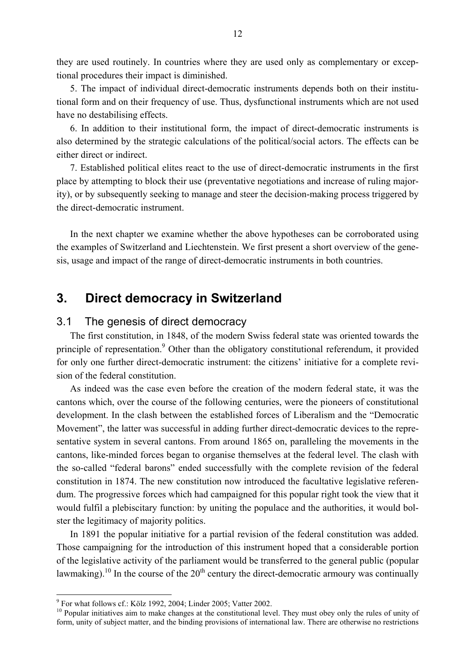they are used routinely. In countries where they are used only as complementary or exceptional procedures their impact is diminished.

5. The impact of individual direct-democratic instruments depends both on their institutional form and on their frequency of use. Thus, dysfunctional instruments which are not used have no destabilising effects.

6. In addition to their institutional form, the impact of direct-democratic instruments is also determined by the strategic calculations of the political/social actors. The effects can be either direct or indirect.

7. Established political elites react to the use of direct-democratic instruments in the first place by attempting to block their use (preventative negotiations and increase of ruling majority), or by subsequently seeking to manage and steer the decision-making process triggered by the direct-democratic instrument.

In the next chapter we examine whether the above hypotheses can be corroborated using the examples of Switzerland and Liechtenstein. We first present a short overview of the genesis, usage and impact of the range of direct-democratic instruments in both countries.

# **3. Direct democracy in Switzerland**

#### 3.1 The genesis of direct democracy

The first constitution, in 1848, of the modern Swiss federal state was oriented towards the principle of representation.<sup>[9](#page-12-0)</sup> Other than the obligatory constitutional referendum, it provided for only one further direct-democratic instrument: the citizens' initiative for a complete revision of the federal constitution.

As indeed was the case even before the creation of the modern federal state, it was the cantons which, over the course of the following centuries, were the pioneers of constitutional development. In the clash between the established forces of Liberalism and the "Democratic Movement", the latter was successful in adding further direct-democratic devices to the representative system in several cantons. From around 1865 on, paralleling the movements in the cantons, like-minded forces began to organise themselves at the federal level. The clash with the so-called "federal barons" ended successfully with the complete revision of the federal constitution in 1874. The new constitution now introduced the facultative legislative referendum. The progressive forces which had campaigned for this popular right took the view that it would fulfil a plebiscitary function: by uniting the populace and the authorities, it would bolster the legitimacy of majority politics.

In 1891 the popular initiative for a partial revision of the federal constitution was added. Those campaigning for the introduction of this instrument hoped that a considerable portion of the legislative activity of the parliament would be transferred to the general public (popular lawmaking).<sup>10</sup> In the course of the  $20<sup>th</sup>$  century the direct-democratic armoury was continually

<span id="page-12-0"></span><sup>&</sup>lt;sup>9</sup> For what follows cf.: Kölz 1992, 2004; Linder 2005; Vatter 2002.

<span id="page-12-1"></span><sup>&</sup>lt;sup>10</sup> Popular initiatives aim to make changes at the constitutional level. They must obey only the rules of unity of form, unity of subject matter, and the binding provisions of international law. There are otherwise no restrictions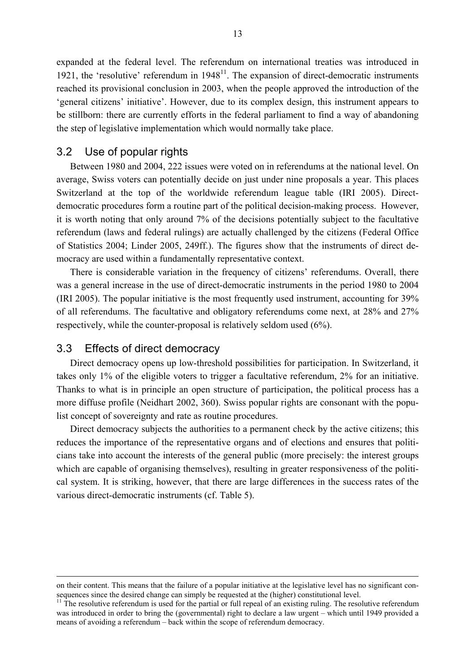expanded at the federal level. The referendum on international treaties was introduced in 1921, the 'resolutive' referendum in  $1948<sup>11</sup>$ . The expansion of direct-democratic instruments reached its provisional conclusion in 2003, when the people approved the introduction of the 'general citizens' initiative'. However, due to its complex design, this instrument appears to be stillborn: there are currently efforts in the federal parliament to find a way of abandoning the step of legislative implementation which would normally take place.

### 3.2 Use of popular rights

Between 1980 and 2004, 222 issues were voted on in referendums at the national level. On average, Swiss voters can potentially decide on just under nine proposals a year. This places Switzerland at the top of the worldwide referendum league table (IRI 2005). Directdemocratic procedures form a routine part of the political decision-making process. However, it is worth noting that only around 7% of the decisions potentially subject to the facultative referendum (laws and federal rulings) are actually challenged by the citizens (Federal Office of Statistics 2004; Linder 2005, 249ff.). The figures show that the instruments of direct democracy are used within a fundamentally representative context.

There is considerable variation in the frequency of citizens' referendums. Overall, there was a general increase in the use of direct-democratic instruments in the period 1980 to 2004 (IRI 2005). The popular initiative is the most frequently used instrument, accounting for 39% of all referendums. The facultative and obligatory referendums come next, at 28% and 27% respectively, while the counter-proposal is relatively seldom used (6%).

### 3.3 Effects of direct democracy

Direct democracy opens up low-threshold possibilities for participation. In Switzerland, it takes only 1% of the eligible voters to trigger a facultative referendum, 2% for an initiative. Thanks to what is in principle an open structure of participation, the political process has a more diffuse profile (Neidhart 2002, 360). Swiss popular rights are consonant with the populist concept of sovereignty and rate as routine procedures.

Direct democracy subjects the authorities to a permanent check by the active citizens; this reduces the importance of the representative organs and of elections and ensures that politicians take into account the interests of the general public (more precisely: the interest groups which are capable of organising themselves), resulting in greater responsiveness of the political system. It is striking, however, that there are large differences in the success rates of the various direct-democratic instruments (cf. Table 5).

on their content. This means that the failure of a popular initiative at the legislative level has no significant consequences since the desired change can simply be requested at the (higher) constitutional level.

<span id="page-13-0"></span> $11$ <sup>11</sup> The resolutive referendum is used for the partial or full repeal of an existing ruling. The resolutive referendum was introduced in order to bring the (governmental) right to declare a law urgent – which until 1949 provided a means of avoiding a referendum – back within the scope of referendum democracy.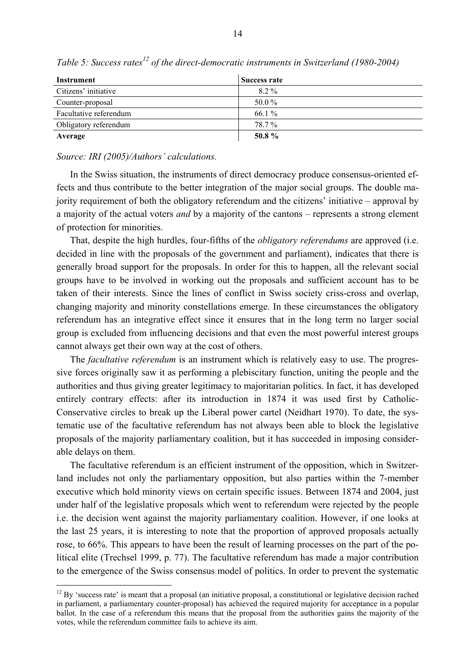| Instrument             | <b>Success rate</b> |
|------------------------|---------------------|
| Citizens' initiative   | 8.2%                |
| Counter-proposal       | 50.0%               |
| Facultative referendum | $66.1\%$            |
| Obligatory referendum  | 78.7%               |
| Average                | 50.8 %              |

*Table 5: Success rates[12](#page-14-0) of the direct-democratic instruments in Switzerland (1980-2004)* 

#### *Source: IRI (2005)/Authors' calculations.*

1

In the Swiss situation, the instruments of direct democracy produce consensus-oriented effects and thus contribute to the better integration of the major social groups. The double majority requirement of both the obligatory referendum and the citizens' initiative – approval by a majority of the actual voters *and* by a majority of the cantons – represents a strong element of protection for minorities.

That, despite the high hurdles, four-fifths of the *obligatory referendums* are approved (i.e. decided in line with the proposals of the government and parliament), indicates that there is generally broad support for the proposals. In order for this to happen, all the relevant social groups have to be involved in working out the proposals and sufficient account has to be taken of their interests. Since the lines of conflict in Swiss society criss-cross and overlap, changing majority and minority constellations emerge. In these circumstances the obligatory referendum has an integrative effect since it ensures that in the long term no larger social group is excluded from influencing decisions and that even the most powerful interest groups cannot always get their own way at the cost of others.

The *facultative referendum* is an instrument which is relatively easy to use. The progressive forces originally saw it as performing a plebiscitary function, uniting the people and the authorities and thus giving greater legitimacy to majoritarian politics. In fact, it has developed entirely contrary effects: after its introduction in 1874 it was used first by Catholic-Conservative circles to break up the Liberal power cartel (Neidhart 1970). To date, the systematic use of the facultative referendum has not always been able to block the legislative proposals of the majority parliamentary coalition, but it has succeeded in imposing considerable delays on them.

The facultative referendum is an efficient instrument of the opposition, which in Switzerland includes not only the parliamentary opposition, but also parties within the 7-member executive which hold minority views on certain specific issues. Between 1874 and 2004, just under half of the legislative proposals which went to referendum were rejected by the people i.e. the decision went against the majority parliamentary coalition. However, if one looks at the last 25 years, it is interesting to note that the proportion of approved proposals actually rose, to 66%. This appears to have been the result of learning processes on the part of the political elite (Trechsel 1999, p. 77). The facultative referendum has made a major contribution to the emergence of the Swiss consensus model of politics. In order to prevent the systematic

<span id="page-14-0"></span> $12$  By 'success rate' is meant that a proposal (an initiative proposal, a constitutional or legislative decision rached in parliament, a parliamentary counter-proposal) has achieved the required majority for acceptance in a popular ballot. In the case of a referendum this means that the proposal from the authorities gains the majority of the votes, while the referendum committee fails to achieve its aim.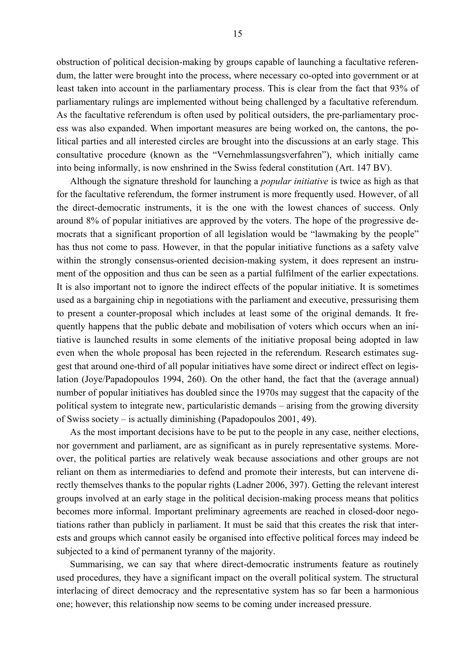obstruction of political decision-making by groups capable of launching a facultative referendum, the latter were brought into the process, where necessary co-opted into government or at least taken into account in the parliamentary process. This is clear from the fact that 93% of parliamentary rulings are implemented without being challenged by a facultative referendum. As the facultative referendum is often used by political outsiders, the pre-parliamentary process was also expanded. When important measures are being worked on, the cantons, the political parties and all interested circles are brought into the discussions at an early stage. This consultative procedure (known as the "Vernehmlassungsverfahren"), which initially came into being informally, is now enshrined in the Swiss federal constitution (Art. 147 BV).

Although the signature threshold for launching a *popular initiative* is twice as high as that for the facultative referendum, the former instrument is more frequently used. However, of all the direct-democratic instruments, it is the one with the lowest chances of success. Only around 8% of popular initiatives are approved by the voters. The hope of the progressive democrats that a significant proportion of all legislation would be "lawmaking by the people" has thus not come to pass. However, in that the popular initiative functions as a safety valve within the strongly consensus-oriented decision-making system, it does represent an instrument of the opposition and thus can be seen as a partial fulfilment of the earlier expectations. It is also important not to ignore the indirect effects of the popular initiative. It is sometimes used as a bargaining chip in negotiations with the parliament and executive, pressurising them to present a counter-proposal which includes at least some of the original demands. It frequently happens that the public debate and mobilisation of voters which occurs when an initiative is launched results in some elements of the initiative proposal being adopted in law even when the whole proposal has been rejected in the referendum. Research estimates suggest that around one-third of all popular initiatives have some direct or indirect effect on legislation (Joye/Papadopoulos 1994, 260). On the other hand, the fact that the (average annual) number of popular initiatives has doubled since the 1970s may suggest that the capacity of the political system to integrate new, particularistic demands – arising from the growing diversity of Swiss society – is actually diminishing (Papadopoulos 2001, 49).

As the most important decisions have to be put to the people in any case, neither elections, nor government and parliament, are as significant as in purely representative systems. Moreover, the political parties are relatively weak because associations and other groups are not reliant on them as intermediaries to defend and promote their interests, but can intervene directly themselves thanks to the popular rights (Ladner 2006, 397). Getting the relevant interest groups involved at an early stage in the political decision-making process means that politics becomes more informal. Important preliminary agreements are reached in closed-door negotiations rather than publicly in parliament. It must be said that this creates the risk that interests and groups which cannot easily be organised into effective political forces may indeed be subjected to a kind of permanent tyranny of the majority.

Summarising, we can say that where direct-democratic instruments feature as routinely used procedures, they have a significant impact on the overall political system. The structural interlacing of direct democracy and the representative system has so far been a harmonious one; however, this relationship now seems to be coming under increased pressure.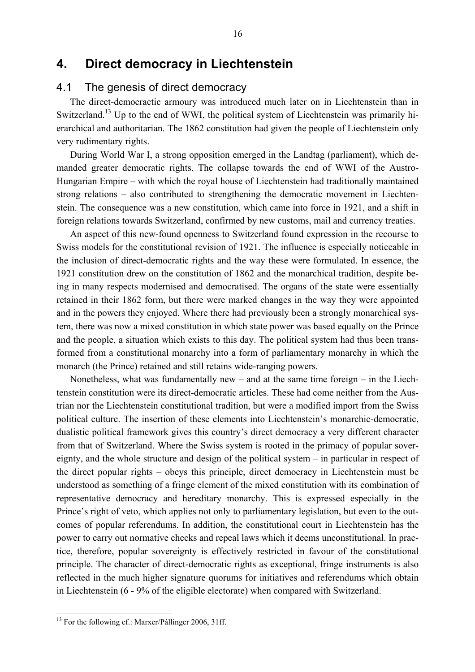# **4. Direct democracy in Liechtenstein**

### 4.1 The genesis of direct democracy

The direct-democractic armoury was introduced much later on in Liechtenstein than in Switzerland.<sup>13</sup> Up to the end of WWI, the political system of Liechtenstein was primarily hierarchical and authoritarian. The 1862 constitution had given the people of Liechtenstein only very rudimentary rights.

During World War I, a strong opposition emerged in the Landtag (parliament), which demanded greater democratic rights. The collapse towards the end of WWI of the Austro-Hungarian Empire – with which the royal house of Liechtenstein had traditionally maintained strong relations – also contributed to strengthening the democratic movement in Liechtenstein. The consequence was a new constitution, which came into force in 1921, and a shift in foreign relations towards Switzerland, confirmed by new customs, mail and currency treaties.

An aspect of this new-found openness to Switzerland found expression in the recourse to Swiss models for the constitutional revision of 1921. The influence is especially noticeable in the inclusion of direct-democratic rights and the way these were formulated. In essence, the 1921 constitution drew on the constitution of 1862 and the monarchical tradition, despite being in many respects modernised and democratised. The organs of the state were essentially retained in their 1862 form, but there were marked changes in the way they were appointed and in the powers they enjoyed. Where there had previously been a strongly monarchical system, there was now a mixed constitution in which state power was based equally on the Prince and the people, a situation which exists to this day. The political system had thus been transformed from a constitutional monarchy into a form of parliamentary monarchy in which the monarch (the Prince) retained and still retains wide-ranging powers.

Nonetheless, what was fundamentally new – and at the same time foreign – in the Liechtenstein constitution were its direct-democratic articles. These had come neither from the Austrian nor the Liechtenstein constitutional tradition, but were a modified import from the Swiss political culture. The insertion of these elements into Liechtenstein's monarchic-democratic, dualistic political framework gives this country's direct democracy a very different character from that of Switzerland. Where the Swiss system is rooted in the primacy of popular sovereignty, and the whole structure and design of the political system – in particular in respect of the direct popular rights – obeys this principle, direct democracy in Liechtenstein must be understood as something of a fringe element of the mixed constitution with its combination of representative democracy and hereditary monarchy. This is expressed especially in the Prince's right of veto, which applies not only to parliamentary legislation, but even to the outcomes of popular referendums. In addition, the constitutional court in Liechtenstein has the power to carry out normative checks and repeal laws which it deems unconstitutional. In practice, therefore, popular sovereignty is effectively restricted in favour of the constitutional principle. The character of direct-democratic rights as exceptional, fringe instruments is also reflected in the much higher signature quorums for initiatives and referendums which obtain in Liechtenstein (6 - 9% of the eligible electorate) when compared with Switzerland.

<span id="page-16-0"></span> $13$  For the following cf.: Marxer/Pállinger 2006, 31ff.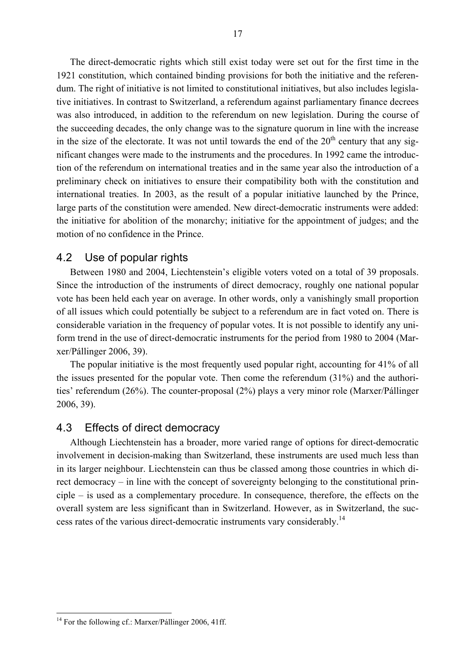The direct-democratic rights which still exist today were set out for the first time in the 1921 constitution, which contained binding provisions for both the initiative and the referendum. The right of initiative is not limited to constitutional initiatives, but also includes legislative initiatives. In contrast to Switzerland, a referendum against parliamentary finance decrees was also introduced, in addition to the referendum on new legislation. During the course of the succeeding decades, the only change was to the signature quorum in line with the increase in the size of the electorate. It was not until towards the end of the  $20<sup>th</sup>$  century that any significant changes were made to the instruments and the procedures. In 1992 came the introduction of the referendum on international treaties and in the same year also the introduction of a preliminary check on initiatives to ensure their compatibility both with the constitution and international treaties. In 2003, as the result of a popular initiative launched by the Prince, large parts of the constitution were amended. New direct-democratic instruments were added: the initiative for abolition of the monarchy; initiative for the appointment of judges; and the motion of no confidence in the Prince.

## 4.2 Use of popular rights

Between 1980 and 2004, Liechtenstein's eligible voters voted on a total of 39 proposals. Since the introduction of the instruments of direct democracy, roughly one national popular vote has been held each year on average. In other words, only a vanishingly small proportion of all issues which could potentially be subject to a referendum are in fact voted on. There is considerable variation in the frequency of popular votes. It is not possible to identify any uniform trend in the use of direct-democratic instruments for the period from 1980 to 2004 (Marxer/Pállinger 2006, 39).

The popular initiative is the most frequently used popular right, accounting for 41% of all the issues presented for the popular vote. Then come the referendum (31%) and the authorities' referendum (26%). The counter-proposal (2%) plays a very minor role (Marxer/Pállinger 2006, 39).

## 4.3 Effects of direct democracy

Although Liechtenstein has a broader, more varied range of options for direct-democratic involvement in decision-making than Switzerland, these instruments are used much less than in its larger neighbour. Liechtenstein can thus be classed among those countries in which direct democracy – in line with the concept of sovereignty belonging to the constitutional principle – is used as a complementary procedure. In consequence, therefore, the effects on the overall system are less significant than in Switzerland. However, as in Switzerland, the success rates of the various direct-democratic instruments vary considerably.<sup>14</sup>

<span id="page-17-0"></span><sup>&</sup>lt;sup>14</sup> For the following cf.: Marxer/Pállinger 2006, 41ff.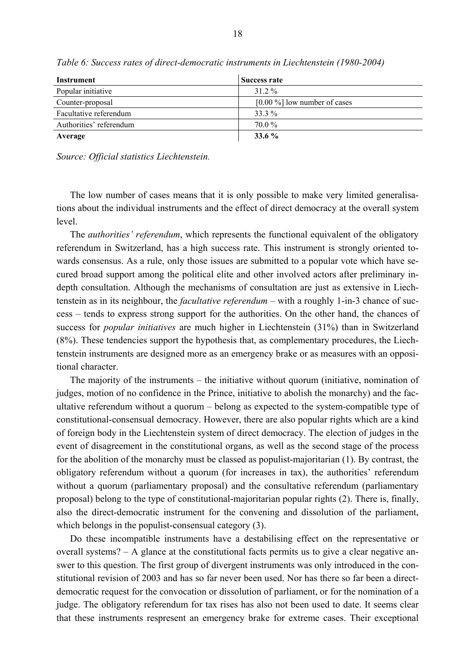| Instrument              | <b>Success rate</b>            |
|-------------------------|--------------------------------|
| Popular initiative      | $31.2\%$                       |
| Counter-proposal        | $[0.00\%]$ low number of cases |
| Facultative referendum  | 33 3 %                         |
| Authorities' referendum | 70 0 %                         |
| Average                 | $33.6\%$                       |

*Table 6: Success rates of direct-democratic instruments in Liechtenstein (1980-2004)* 

*Source: Official statistics Liechtenstein.*

The low number of cases means that it is only possible to make very limited generalisations about the individual instruments and the effect of direct democracy at the overall system level.

The *authorities' referendum*, which represents the functional equivalent of the obligatory referendum in Switzerland, has a high success rate. This instrument is strongly oriented towards consensus. As a rule, only those issues are submitted to a popular vote which have secured broad support among the political elite and other involved actors after preliminary indepth consultation. Although the mechanisms of consultation are just as extensive in Liechtenstein as in its neighbour, the *facultative referendum* – with a roughly 1-in-3 chance of success – tends to express strong support for the authorities. On the other hand, the chances of success for *popular initiatives* are much higher in Liechtenstein (31%) than in Switzerland (8%). These tendencies support the hypothesis that, as complementary procedures, the Liechtenstein instruments are designed more as an emergency brake or as measures with an oppositional character.

The majority of the instruments – the initiative without quorum (initiative, nomination of judges, motion of no confidence in the Prince, initiative to abolish the monarchy) and the facultative referendum without a quorum – belong as expected to the system-compatible type of constitutional-consensual democracy. However, there are also popular rights which are a kind of foreign body in the Liechtenstein system of direct democracy. The election of judges in the event of disagreement in the constitutional organs, as well as the second stage of the process for the abolition of the monarchy must be classed as populist-majoritarian (1). By contrast, the obligatory referendum without a quorum (for increases in tax), the authorities' referendum without a quorum (parliamentary proposal) and the consultative referendum (parliamentary proposal) belong to the type of constitutional-majoritarian popular rights (2). There is, finally, also the direct-democratic instrument for the convening and dissolution of the parliament, which belongs in the populist-consensual category (3).

Do these incompatible instruments have a destabilising effect on the representative or overall systems? – A glance at the constitutional facts permits us to give a clear negative answer to this question. The first group of divergent instruments was only introduced in the constitutional revision of 2003 and has so far never been used. Nor has there so far been a directdemocratic request for the convocation or dissolution of parliament, or for the nomination of a judge. The obligatory referendum for tax rises has also not been used to date. It seems clear that these instruments respresent an emergency brake for extreme cases. Their exceptional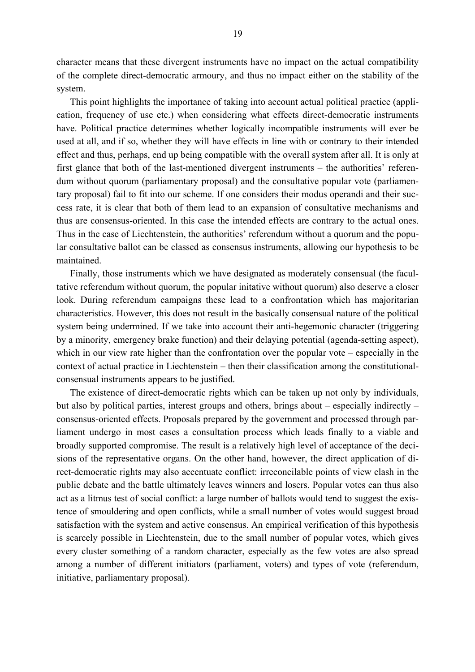character means that these divergent instruments have no impact on the actual compatibility of the complete direct-democratic armoury, and thus no impact either on the stability of the system.

This point highlights the importance of taking into account actual political practice (application, frequency of use etc.) when considering what effects direct-democratic instruments have. Political practice determines whether logically incompatible instruments will ever be used at all, and if so, whether they will have effects in line with or contrary to their intended effect and thus, perhaps, end up being compatible with the overall system after all. It is only at first glance that both of the last-mentioned divergent instruments – the authorities' referendum without quorum (parliamentary proposal) and the consultative popular vote (parliamentary proposal) fail to fit into our scheme. If one considers their modus operandi and their success rate, it is clear that both of them lead to an expansion of consultative mechanisms and thus are consensus-oriented. In this case the intended effects are contrary to the actual ones. Thus in the case of Liechtenstein, the authorities' referendum without a quorum and the popular consultative ballot can be classed as consensus instruments, allowing our hypothesis to be maintained.

Finally, those instruments which we have designated as moderately consensual (the facultative referendum without quorum, the popular initative without quorum) also deserve a closer look. During referendum campaigns these lead to a confrontation which has majoritarian characteristics. However, this does not result in the basically consensual nature of the political system being undermined. If we take into account their anti-hegemonic character (triggering by a minority, emergency brake function) and their delaying potential (agenda-setting aspect), which in our view rate higher than the confrontation over the popular vote – especially in the context of actual practice in Liechtenstein – then their classification among the constitutionalconsensual instruments appears to be justified.

The existence of direct-democratic rights which can be taken up not only by individuals, but also by political parties, interest groups and others, brings about – especially indirectly – consensus-oriented effects. Proposals prepared by the government and processed through parliament undergo in most cases a consultation process which leads finally to a viable and broadly supported compromise. The result is a relatively high level of acceptance of the decisions of the representative organs. On the other hand, however, the direct application of direct-democratic rights may also accentuate conflict: irreconcilable points of view clash in the public debate and the battle ultimately leaves winners and losers. Popular votes can thus also act as a litmus test of social conflict: a large number of ballots would tend to suggest the existence of smouldering and open conflicts, while a small number of votes would suggest broad satisfaction with the system and active consensus. An empirical verification of this hypothesis is scarcely possible in Liechtenstein, due to the small number of popular votes, which gives every cluster something of a random character, especially as the few votes are also spread among a number of different initiators (parliament, voters) and types of vote (referendum, initiative, parliamentary proposal).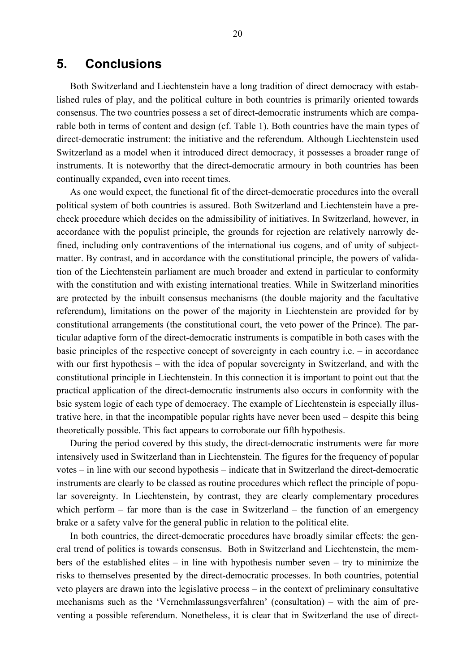## **5. Conclusions**

Both Switzerland and Liechtenstein have a long tradition of direct democracy with established rules of play, and the political culture in both countries is primarily oriented towards consensus. The two countries possess a set of direct-democratic instruments which are comparable both in terms of content and design (cf. [Table 1\)](#page-4-2). Both countries have the main types of direct-democratic instrument: the initiative and the referendum. Although Liechtenstein used Switzerland as a model when it introduced direct democracy, it possesses a broader range of instruments. It is noteworthy that the direct-democratic armoury in both countries has been continually expanded, even into recent times.

As one would expect, the functional fit of the direct-democratic procedures into the overall political system of both countries is assured. Both Switzerland and Liechtenstein have a precheck procedure which decides on the admissibility of initiatives. In Switzerland, however, in accordance with the populist principle, the grounds for rejection are relatively narrowly defined, including only contraventions of the international ius cogens, and of unity of subjectmatter. By contrast, and in accordance with the constitutional principle, the powers of validation of the Liechtenstein parliament are much broader and extend in particular to conformity with the constitution and with existing international treaties. While in Switzerland minorities are protected by the inbuilt consensus mechanisms (the double majority and the facultative referendum), limitations on the power of the majority in Liechtenstein are provided for by constitutional arrangements (the constitutional court, the veto power of the Prince). The particular adaptive form of the direct-democratic instruments is compatible in both cases with the basic principles of the respective concept of sovereignty in each country i.e. – in accordance with our first hypothesis – with the idea of popular sovereignty in Switzerland, and with the constitutional principle in Liechtenstein. In this connection it is important to point out that the practical application of the direct-democratic instruments also occurs in conformity with the bsic system logic of each type of democracy. The example of Liechtenstein is especially illustrative here, in that the incompatible popular rights have never been used – despite this being theoretically possible. This fact appears to corroborate our fifth hypothesis.

During the period covered by this study, the direct-democratic instruments were far more intensively used in Switzerland than in Liechtenstein. The figures for the frequency of popular votes – in line with our second hypothesis – indicate that in Switzerland the direct-democratic instruments are clearly to be classed as routine procedures which reflect the principle of popular sovereignty. In Liechtenstein, by contrast, they are clearly complementary procedures which perform – far more than is the case in Switzerland – the function of an emergency brake or a safety valve for the general public in relation to the political elite.

In both countries, the direct-democratic procedures have broadly similar effects: the general trend of politics is towards consensus. Both in Switzerland and Liechtenstein, the members of the established elites – in line with hypothesis number seven – try to minimize the risks to themselves presented by the direct-democratic processes. In both countries, potential veto players are drawn into the legislative process – in the context of preliminary consultative mechanisms such as the 'Vernehmlassungsverfahren' (consultation) – with the aim of preventing a possible referendum. Nonetheless, it is clear that in Switzerland the use of direct-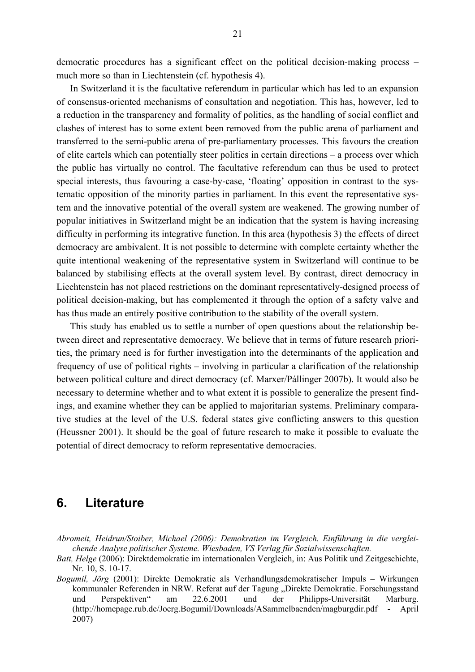democratic procedures has a significant effect on the political decision-making process – much more so than in Liechtenstein (cf. hypothesis 4).

In Switzerland it is the facultative referendum in particular which has led to an expansion of consensus-oriented mechanisms of consultation and negotiation. This has, however, led to a reduction in the transparency and formality of politics, as the handling of social conflict and clashes of interest has to some extent been removed from the public arena of parliament and transferred to the semi-public arena of pre-parliamentary processes. This favours the creation of elite cartels which can potentially steer politics in certain directions – a process over which the public has virtually no control. The facultative referendum can thus be used to protect special interests, thus favouring a case-by-case, 'floating' opposition in contrast to the systematic opposition of the minority parties in parliament. In this event the representative system and the innovative potential of the overall system are weakened. The growing number of popular initiatives in Switzerland might be an indication that the system is having increasing difficulty in performing its integrative function. In this area (hypothesis 3) the effects of direct democracy are ambivalent. It is not possible to determine with complete certainty whether the quite intentional weakening of the representative system in Switzerland will continue to be balanced by stabilising effects at the overall system level. By contrast, direct democracy in Liechtenstein has not placed restrictions on the dominant representatively-designed process of political decision-making, but has complemented it through the option of a safety valve and has thus made an entirely positive contribution to the stability of the overall system.

This study has enabled us to settle a number of open questions about the relationship between direct and representative democracy. We believe that in terms of future research priorities, the primary need is for further investigation into the determinants of the application and frequency of use of political rights – involving in particular a clarification of the relationship between political culture and direct democracy (cf. Marxer/Pállinger 2007b). It would also be necessary to determine whether and to what extent it is possible to generalize the present findings, and examine whether they can be applied to majoritarian systems. Preliminary comparative studies at the level of the U.S. federal states give conflicting answers to this question (Heussner 2001). It should be the goal of future research to make it possible to evaluate the potential of direct democracy to reform representative democracies.

# **6. Literature**

*Abromeit, Heidrun/Stoiber, Michael (2006): Demokratien im Vergleich. Einführung in die vergleichende Analyse politischer Systeme. Wiesbaden, VS Verlag für Sozialwissenschaften.* 

*Batt, Helge* (2006): Direktdemokratie im internationalen Vergleich, in: Aus Politik und Zeitgeschichte, Nr. 10, S. 10-17.

*Bogumil, Jörg* (2001): Direkte Demokratie als Verhandlungsdemokratischer Impuls – Wirkungen kommunaler Referenden in NRW. Referat auf der Tagung "Direkte Demokratie. Forschungsstand und Perspektiven" am 22.6.2001 und der Philipps-Universität Marburg. (http://homepage.rub.de/Joerg.Bogumil/Downloads/ASammelbaenden/magburgdir.pdf - April 2007)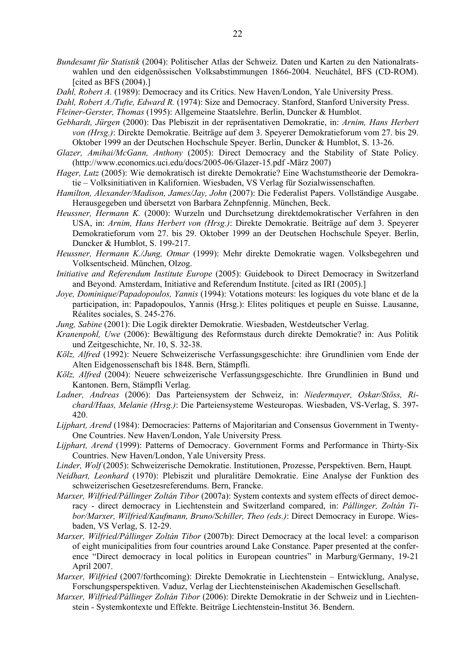- *Bundesamt für Statistik* (2004): Politischer Atlas der Schweiz. Daten und Karten zu den Nationalratswahlen und den eidgenössischen Volksabstimmungen 1866-2004. Neuchâtel, BFS (CD-ROM). [cited as BFS (2004).]
- *Dahl, Robert A.* (1989): Democracy and its Critics. New Haven/London, Yale University Press.
- *Dahl, Robert A./Tufte, Edward R.* (1974): Size and Democracy. Stanford, Stanford University Press.
- *Fleiner-Gerster, Thomas* (1995): Allgemeine Staatslehre. Berlin, Duncker & Humblot.
- *Gebhardt, Jürgen* (2000): Das Plebiszit in der repräsentativen Demokratie, in: *Arnim, Hans Herbert von (Hrsg.)*: Direkte Demokratie. Beiträge auf dem 3. Speyerer Demokratieforum vom 27. bis 29. Oktober 1999 an der Deutschen Hochschule Speyer. Berlin, Duncker & Humblot, S. 13-26.
- *Glazer, Amihai/McGann, Anthony* (2005): Direct Democracy and the Stability of State Policy. (http://www.economics.uci.edu/docs/2005-06/Glazer-15.pdf -März 2007)
- *Hager, Lutz* (2005): Wie demokratisch ist direkte Demokratie? Eine Wachstumstheorie der Demokratie – Volksinitiativen in Kalifornien. Wiesbaden, VS Verlag für Sozialwissenschaften.
- *Hamilton, Alexander/Madison, James/Jay, John* (2007): Die Federalist Papers. Vollständige Ausgabe. Herausgegeben und übersetzt von Barbara Zehnpfennig. München, Beck.
- *Heussner, Hermann K.* (2000): Wurzeln und Durchsetzung direktdemokratischer Verfahren in den USA, in: *Arnim, Hans Herbert von (Hrsg.)*: Direkte Demokratie. Beiträge auf dem 3. Speyerer Demokratieforum vom 27. bis 29. Oktober 1999 an der Deutschen Hochschule Speyer. Berlin, Duncker & Humblot, S. 199-217.
- *Heussner, Hermann K./Jung, Otmar* (1999): Mehr direkte Demokratie wagen. Volksbegehren und Volksentscheid. München, Olzog.
- *Initiative and Referendum Institute Europe* (2005): Guidebook to Direct Democracy in Switzerland and Beyond. Amsterdam, Initiative and Referendum Institute. [cited as IRI (2005).]
- *Joye, Dominique/Papadopoulos, Yannis* (1994): Votations moteurs: les logiques du vote blanc et de la participation, in: Papadopoulos, Yannis (Hrsg.): Elites politiques et peuple en Suisse. Lausanne, Réalites sociales, S. 245-276.
- *Jung, Sabine* (2001): Die Logik direkter Demokratie. Wiesbaden, Westdeutscher Verlag.
- *Kranenpohl, Uwe* (2006): Bewältigung des Reformstaus durch direkte Demokratie? in: Aus Politik und Zeitgeschichte, Nr. 10, S. 32-38.
- *Kölz, Alfred* (1992): Neuere Schweizerische Verfassungsgeschichte: ihre Grundlinien vom Ende der Alten Eidgenossenschaft bis 1848. Bern, Stämpfli.
- *Kölz, Alfred* (2004): Neuere schweizerische Verfassungsgeschichte. Ihre Grundlinien in Bund und Kantonen. Bern, Stämpfli Verlag.
- *Ladner, Andreas* (2006): Das Parteiensystem der Schweiz, in: *Niedermayer, Oskar/Stöss, Richard/Haas, Melanie (Hrsg.)*: Die Parteiensysteme Westeuropas. Wiesbaden, VS-Verlag, S. 397- 420.
- *Lijphart, Arend* (1984): Democracies: Patterns of Majoritarian and Consensus Government in Twenty-One Countries. New Haven/London, Yale University Press*.*
- *Lijphart, Arend* (1999): Patterns of Democracy. Government Forms and Performance in Thirty-Six Countries. New Haven/London, Yale University Press.
- *Linder, Wolf* (2005): Schweizerische Demokratie. Institutionen, Prozesse, Perspektiven. Bern, Haupt*.*
- *Neidhart, Leonhard* (1970): Plebiszit und pluralitäre Demokratie. Eine Analyse der Funktion des schweizerischen Gesetzesreferendums. Bern, Francke.
- *Marxer, Wilfried/Pállinger Zoltán Tibor* (2007a): System contexts and system effects of direct democracy - direct democracy in Liechtenstein and Switzerland compared, in: *Pállinger, Zoltán Tibor/Marxer, Wilfried/Kaufmann, Bruno/Schiller, Theo (eds.)*: Direct Democracy in Europe. Wiesbaden, VS Verlag, S. 12-29.
- *Marxer, Wilfried/Pállinger Zoltán Tibor* (2007b): Direct Democracy at the local level: a comparison of eight municipalities from four countries around Lake Constance. Paper presented at the conference "Direct democracy in local politics in European countries" in Marburg/Germany, 19-21 April 2007.
- *Marxer, Wilfried* (2007/forthcoming): Direkte Demokratie in Liechtenstein Entwicklung, Analyse, Forschungsperspektiven. Vaduz, Verlag der Liechtensteinischen Akademischen Gesellschaft.
- *Marxer, Wilfried/Pállinger Zoltán Tibor* (2006): Direkte Demokratie in der Schweiz und in Liechtenstein - Systemkontexte und Effekte. Beiträge Liechtenstein-Institut 36. Bendern.